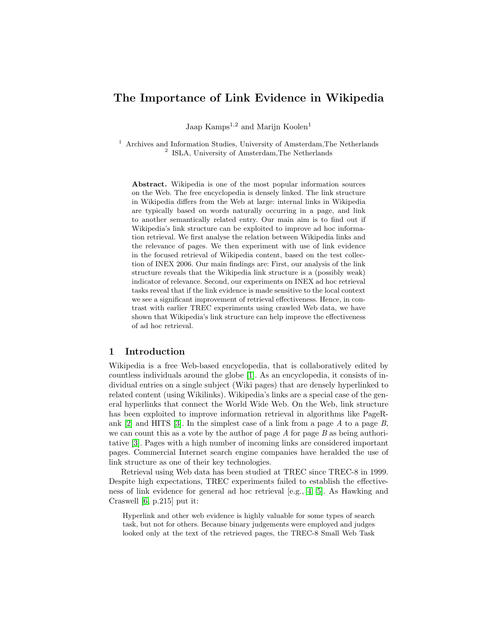# The Importance of Link Evidence in Wikipedia

Jaap Kamps<sup>1,2</sup> and Marijn Koolen<sup>1</sup>

 $1$  Archives and Information Studies, University of Amsterdam, The Netherlands 2 ISLA, University of Amsterdam,The Netherlands

Abstract. Wikipedia is one of the most popular information sources on the Web. The free encyclopedia is densely linked. The link structure in Wikipedia differs from the Web at large: internal links in Wikipedia are typically based on words naturally occurring in a page, and link to another semantically related entry. Our main aim is to find out if Wikipedia's link structure can be exploited to improve ad hoc information retrieval. We first analyse the relation between Wikipedia links and the relevance of pages. We then experiment with use of link evidence in the focused retrieval of Wikipedia content, based on the test collection of INEX 2006. Our main findings are: First, our analysis of the link structure reveals that the Wikipedia link structure is a (possibly weak) indicator of relevance. Second, our experiments on INEX ad hoc retrieval tasks reveal that if the link evidence is made sensitive to the local context we see a significant improvement of retrieval effectiveness. Hence, in contrast with earlier TREC experiments using crawled Web data, we have shown that Wikipedia's link structure can help improve the effectiveness of ad hoc retrieval.

# 1 Introduction

Wikipedia is a free Web-based encyclopedia, that is collaboratively edited by countless individuals around the globe [\[1\]](#page-11-0). As an encyclopedia, it consists of individual entries on a single subject (Wiki pages) that are densely hyperlinked to related content (using Wikilinks). Wikipedia's links are a special case of the general hyperlinks that connect the World Wide Web. On the Web, link structure has been exploited to improve information retrieval in algorithms like PageRank  $[2]$  and HITS  $[3]$ . In the simplest case of a link from a page A to a page B, we can count this as a vote by the author of page  $A$  for page  $B$  as being authoritative [\[3\]](#page-11-2). Pages with a high number of incoming links are considered important pages. Commercial Internet search engine companies have heralded the use of link structure as one of their key technologies.

Retrieval using Web data has been studied at TREC since TREC-8 in 1999. Despite high expectations, TREC experiments failed to establish the effectiveness of link evidence for general ad hoc retrieval [e.g., [4;](#page-11-3) [5\]](#page-11-4). As Hawking and Craswell [\[6,](#page-11-5) p.215] put it:

Hyperlink and other web evidence is highly valuable for some types of search task, but not for others. Because binary judgements were employed and judges looked only at the text of the retrieved pages, the TREC-8 Small Web Task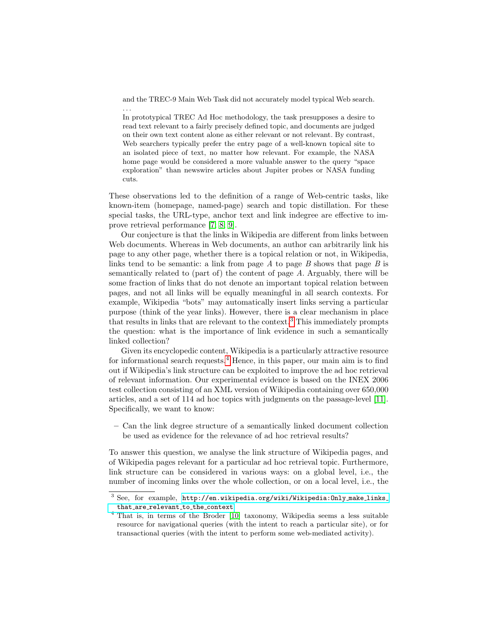and the TREC-9 Main Web Task did not accurately model typical Web search. . . .

In prototypical TREC Ad Hoc methodology, the task presupposes a desire to read text relevant to a fairly precisely defined topic, and documents are judged on their own text content alone as either relevant or not relevant. By contrast, Web searchers typically prefer the entry page of a well-known topical site to an isolated piece of text, no matter how relevant. For example, the NASA home page would be considered a more valuable answer to the query "space exploration" than newswire articles about Jupiter probes or NASA funding cuts.

These observations led to the definition of a range of Web-centric tasks, like known-item (homepage, named-page) search and topic distillation. For these special tasks, the URL-type, anchor text and link indegree are effective to improve retrieval performance [\[7;](#page-11-6) [8;](#page-11-7) [9\]](#page-11-8).

Our conjecture is that the links in Wikipedia are different from links between Web documents. Whereas in Web documents, an author can arbitrarily link his page to any other page, whether there is a topical relation or not, in Wikipedia, links tend to be semantic: a link from page  $A$  to page  $B$  shows that page  $B$  is semantically related to (part of) the content of page A. Arguably, there will be some fraction of links that do not denote an important topical relation between pages, and not all links will be equally meaningful in all search contexts. For example, Wikipedia "bots" may automatically insert links serving a particular purpose (think of the year links). However, there is a clear mechanism in place that results in links that are relevant to the context.[3](#page-1-0) This immediately prompts the question: what is the importance of link evidence in such a semantically linked collection?

Given its encyclopedic content, Wikipedia is a particularly attractive resource for informational search requests.<sup>[4](#page-1-1)</sup> Hence, in this paper, our main aim is to find out if Wikipedia's link structure can be exploited to improve the ad hoc retrieval of relevant information. Our experimental evidence is based on the INEX 2006 test collection consisting of an XML version of Wikipedia containing over 650,000 articles, and a set of 114 ad hoc topics with judgments on the passage-level [\[11\]](#page-11-9). Specifically, we want to know:

– Can the link degree structure of a semantically linked document collection be used as evidence for the relevance of ad hoc retrieval results?

To answer this question, we analyse the link structure of Wikipedia pages, and of Wikipedia pages relevant for a particular ad hoc retrieval topic. Furthermore, link structure can be considered in various ways: on a global level, i.e., the number of incoming links over the whole collection, or on a local level, i.e., the

<span id="page-1-0"></span> $3$  See, for example, [http://en.wikipedia.org/wiki/Wikipedia:Only](http://en.wikipedia.org/wiki/Wikipedia:Only_make_links_that_are_relevant_to_the_context)\_make\_links\_ that are [relevant](http://en.wikipedia.org/wiki/Wikipedia:Only_make_links_that_are_relevant_to_the_context) to the context.

<span id="page-1-1"></span><sup>4</sup> That is, in terms of the Broder [\[10\]](#page-11-10) taxonomy, Wikipedia seems a less suitable resource for navigational queries (with the intent to reach a particular site), or for transactional queries (with the intent to perform some web-mediated activity).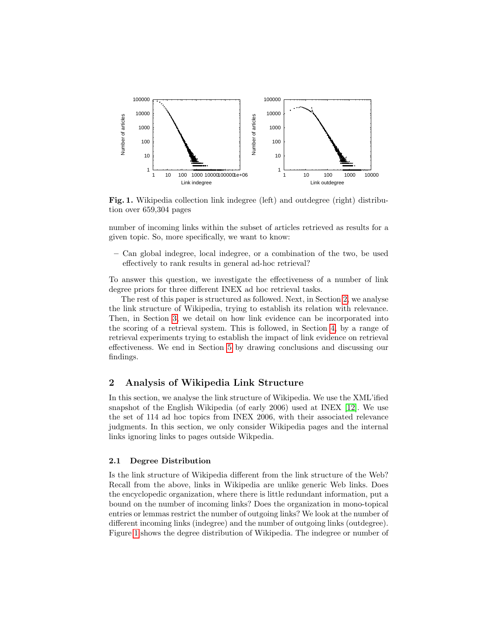

<span id="page-2-1"></span>Fig. 1. Wikipedia collection link indegree (left) and outdegree (right) distribution over 659,304 pages

number of incoming links within the subset of articles retrieved as results for a given topic. So, more specifically, we want to know:

– Can global indegree, local indegree, or a combination of the two, be used effectively to rank results in general ad-hoc retrieval?

To answer this question, we investigate the effectiveness of a number of link degree priors for three different INEX ad hoc retrieval tasks.

The rest of this paper is structured as followed. Next, in Section [2,](#page-2-0) we analyse the link structure of Wikipedia, trying to establish its relation with relevance. Then, in Section [3,](#page-5-0) we detail on how link evidence can be incorporated into the scoring of a retrieval system. This is followed, in Section [4,](#page-8-0) by a range of retrieval experiments trying to establish the impact of link evidence on retrieval effectiveness. We end in Section [5](#page-10-0) by drawing conclusions and discussing our findings.

# <span id="page-2-0"></span>2 Analysis of Wikipedia Link Structure

In this section, we analyse the link structure of Wikipedia. We use the XML'ified snapshot of the English Wikipedia (of early 2006) used at INEX [\[12\]](#page-11-11). We use the set of 114 ad hoc topics from INEX 2006, with their associated relevance judgments. In this section, we only consider Wikipedia pages and the internal links ignoring links to pages outside Wikpedia.

#### 2.1 Degree Distribution

Is the link structure of Wikipedia different from the link structure of the Web? Recall from the above, links in Wikipedia are unlike generic Web links. Does the encyclopedic organization, where there is little redundant information, put a bound on the number of incoming links? Does the organization in mono-topical entries or lemmas restrict the number of outgoing links? We look at the number of different incoming links (indegree) and the number of outgoing links (outdegree). Figure [1](#page-2-1) shows the degree distribution of Wikipedia. The indegree or number of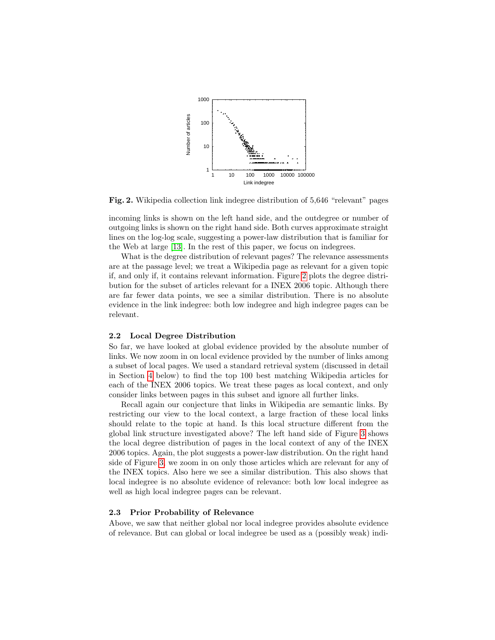

<span id="page-3-0"></span>Fig. 2. Wikipedia collection link indegree distribution of 5,646 "relevant" pages

incoming links is shown on the left hand side, and the outdegree or number of outgoing links is shown on the right hand side. Both curves approximate straight lines on the log-log scale, suggesting a power-law distribution that is familiar for the Web at large [\[13\]](#page-11-12). In the rest of this paper, we focus on indegrees.

What is the degree distribution of relevant pages? The relevance assessments are at the passage level; we treat a Wikipedia page as relevant for a given topic if, and only if, it contains relevant information. Figure [2](#page-3-0) plots the degree distribution for the subset of articles relevant for a INEX 2006 topic. Although there are far fewer data points, we see a similar distribution. There is no absolute evidence in the link indegree: both low indegree and high indegree pages can be relevant.

#### 2.2 Local Degree Distribution

So far, we have looked at global evidence provided by the absolute number of links. We now zoom in on local evidence provided by the number of links among a subset of local pages. We used a standard retrieval system (discussed in detail in Section [4](#page-8-0) below) to find the top 100 best matching Wikipedia articles for each of the INEX 2006 topics. We treat these pages as local context, and only consider links between pages in this subset and ignore all further links.

Recall again our conjecture that links in Wikipedia are semantic links. By restricting our view to the local context, a large fraction of these local links should relate to the topic at hand. Is this local structure different from the global link structure investigated above? The left hand side of Figure [3](#page-4-0) shows the local degree distribution of pages in the local context of any of the INEX 2006 topics. Again, the plot suggests a power-law distribution. On the right hand side of Figure [3,](#page-4-0) we zoom in on only those articles which are relevant for any of the INEX topics. Also here we see a similar distribution. This also shows that local indegree is no absolute evidence of relevance: both low local indegree as well as high local indegree pages can be relevant.

### 2.3 Prior Probability of Relevance

Above, we saw that neither global nor local indegree provides absolute evidence of relevance. But can global or local indegree be used as a (possibly weak) indi-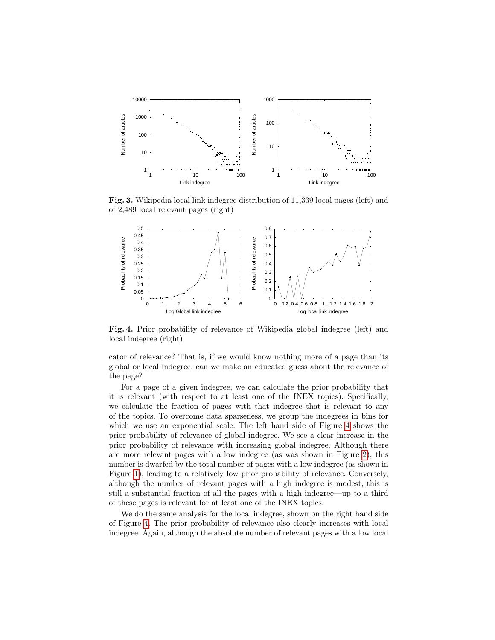

<span id="page-4-0"></span>Fig. 3. Wikipedia local link indegree distribution of 11,339 local pages (left) and of 2,489 local relevant pages (right)



<span id="page-4-1"></span>Fig. 4. Prior probability of relevance of Wikipedia global indegree (left) and local indegree (right)

cator of relevance? That is, if we would know nothing more of a page than its global or local indegree, can we make an educated guess about the relevance of the page?

For a page of a given indegree, we can calculate the prior probability that it is relevant (with respect to at least one of the INEX topics). Specifically, we calculate the fraction of pages with that indegree that is relevant to any of the topics. To overcome data sparseness, we group the indegrees in bins for which we use an exponential scale. The left hand side of Figure [4](#page-4-1) shows the prior probability of relevance of global indegree. We see a clear increase in the prior probability of relevance with increasing global indegree. Although there are more relevant pages with a low indegree (as was shown in Figure [2\)](#page-3-0), this number is dwarfed by the total number of pages with a low indegree (as shown in Figure [1\)](#page-2-1), leading to a relatively low prior probability of relevance. Conversely, although the number of relevant pages with a high indegree is modest, this is still a substantial fraction of all the pages with a high indegree—up to a third of these pages is relevant for at least one of the INEX topics.

We do the same analysis for the local indegree, shown on the right hand side of Figure [4.](#page-4-1) The prior probability of relevance also clearly increases with local indegree. Again, although the absolute number of relevant pages with a low local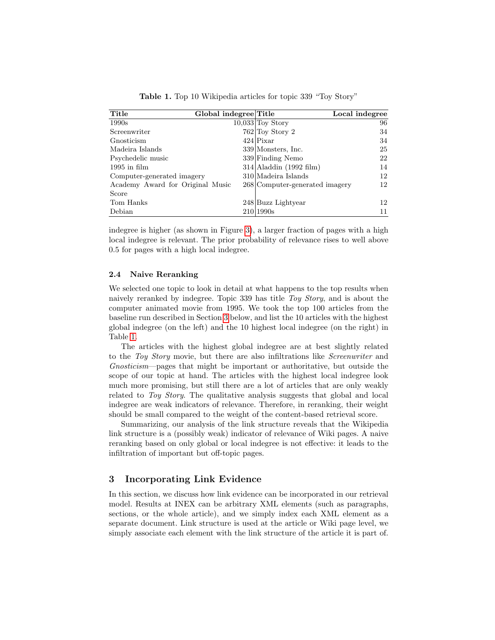| Title                            | Global indegree Title |                                | Local indegree |
|----------------------------------|-----------------------|--------------------------------|----------------|
| 1990s                            |                       | $10,033$ Toy Story             | 96             |
| Screenwriter                     |                       | $762$ Toy Story 2              | 34             |
| Gnosticism                       |                       | $424$ Pixar                    | 34             |
| Madeira Islands                  |                       | 339 Monsters, Inc.             | 25             |
| Psychedelic music                |                       | $339$ Finding Nemo             | 22             |
| $1995$ in film                   |                       | $314$  Aladdin (1992 film)     | 14             |
| Computer-generated imagery       |                       | 310 Madeira Islands            | 12             |
| Academy Award for Original Music |                       | 268 Computer-generated imagery | 12             |
| Score                            |                       |                                |                |
| Tom Hanks                        |                       | 248 Buzz Lightyear             | 12             |
| Debian                           |                       | 210 1990s                      | 11             |

<span id="page-5-1"></span>Table 1. Top 10 Wikipedia articles for topic 339 "Toy Story"

indegree is higher (as shown in Figure [3\)](#page-4-0), a larger fraction of pages with a high local indegree is relevant. The prior probability of relevance rises to well above 0.5 for pages with a high local indegree.

### 2.4 Naive Reranking

We selected one topic to look in detail at what happens to the top results when naively reranked by indegree. Topic 339 has title Toy Story, and is about the computer animated movie from 1995. We took the top 100 articles from the baseline run described in Section [3](#page-5-0) below, and list the 10 articles with the highest global indegree (on the left) and the 10 highest local indegree (on the right) in Table [1.](#page-5-1)

The articles with the highest global indegree are at best slightly related to the Toy Story movie, but there are also infiltrations like Screenwriter and Gnosticism—pages that might be important or authoritative, but outside the scope of our topic at hand. The articles with the highest local indegree look much more promising, but still there are a lot of articles that are only weakly related to Toy Story. The qualitative analysis suggests that global and local indegree are weak indicators of relevance. Therefore, in reranking, their weight should be small compared to the weight of the content-based retrieval score.

Summarizing, our analysis of the link structure reveals that the Wikipedia link structure is a (possibly weak) indicator of relevance of Wiki pages. A naive reranking based on only global or local indegree is not effective: it leads to the infiltration of important but off-topic pages.

# <span id="page-5-0"></span>3 Incorporating Link Evidence

In this section, we discuss how link evidence can be incorporated in our retrieval model. Results at INEX can be arbitrary XML elements (such as paragraphs, sections, or the whole article), and we simply index each XML element as a separate document. Link structure is used at the article or Wiki page level, we simply associate each element with the link structure of the article it is part of.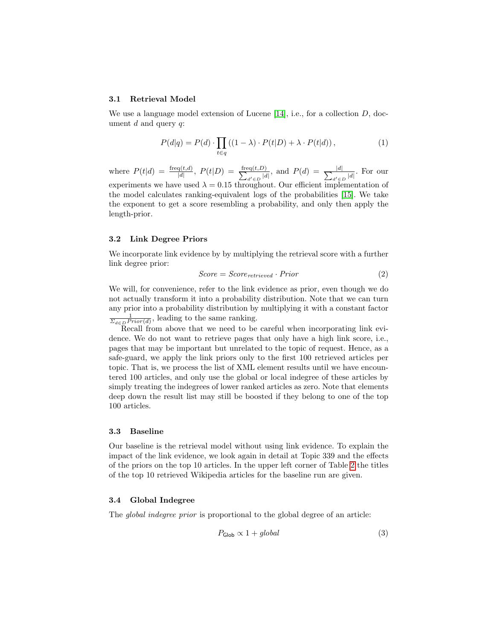#### 3.1 Retrieval Model

We use a language model extension of Lucene  $[14]$ , i.e., for a collection  $D$ , document  $d$  and query  $q$ :

$$
P(d|q) = P(d) \cdot \prod_{t \in q} ((1 - \lambda) \cdot P(t|D) + \lambda \cdot P(t|d)), \qquad (1)
$$

where  $P(t|d) = \frac{\text{freq}(t,d)}{|d|}$ ,  $P(t|D) = \frac{\text{freq}(t,D)}{\sum_{d|c,D}|d}$  $\frac{\text{eq}(t,D)}{d\epsilon_D}|d|$ , and  $P(d) = \frac{|d|}{\sum_{d'\in D} |d|}$  $\frac{|a|}{d^{\prime} \in D}$  and  $\frac{|b|}{d}$ . For our experiments we have used  $\lambda = 0.15$  throughout. Our efficient implementation of the model calculates ranking-equivalent logs of the probabilities [\[15\]](#page-11-14). We take the exponent to get a score resembling a probability, and only then apply the length-prior.

# 3.2 Link Degree Priors

We incorporate link evidence by by multiplying the retrieval score with a further link degree prior:

$$
Score = Score_{retrieved} \cdot Prior
$$
 (2)

We will, for convenience, refer to the link evidence as prior, even though we do not actually transform it into a probability distribution. Note that we can turn any prior into a probability distribution by multiplying it with a constant factor  $\frac{1}{\sum_{d \in D} Prior(d)}$ , leading to the same ranking.

Recall from above that we need to be careful when incorporating link evidence. We do not want to retrieve pages that only have a high link score, i.e., pages that may be important but unrelated to the topic of request. Hence, as a safe-guard, we apply the link priors only to the first 100 retrieved articles per topic. That is, we process the list of XML element results until we have encountered 100 articles, and only use the global or local indegree of these articles by simply treating the indegrees of lower ranked articles as zero. Note that elements deep down the result list may still be boosted if they belong to one of the top 100 articles.

#### 3.3 Baseline

Our baseline is the retrieval model without using link evidence. To explain the impact of the link evidence, we look again in detail at Topic 339 and the effects of the priors on the top 10 articles. In the upper left corner of Table [2](#page-7-0) the titles of the top 10 retrieved Wikipedia articles for the baseline run are given.

#### 3.4 Global Indegree

The global indegree prior is proportional to the global degree of an article:

$$
P_{\text{Glob}} \propto 1 + global \tag{3}
$$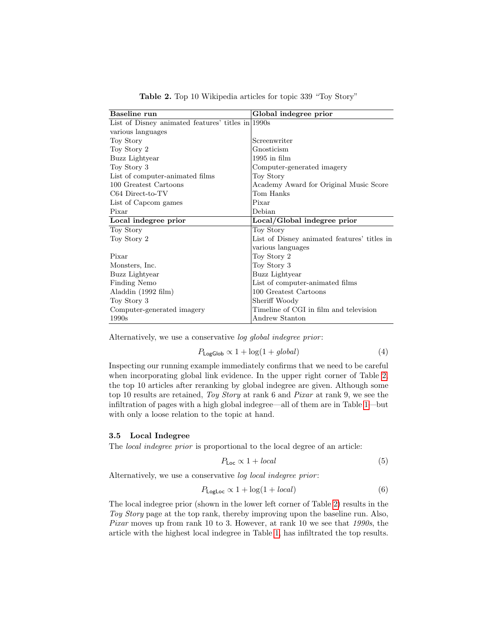| Baseline run                                      | Global indegree prior                       |  |  |  |
|---------------------------------------------------|---------------------------------------------|--|--|--|
| List of Disney animated features' titles in 1990s |                                             |  |  |  |
| various languages                                 |                                             |  |  |  |
| Toy Story                                         | Screenwriter                                |  |  |  |
| Toy Story 2                                       | Gnosticism                                  |  |  |  |
| Buzz Lightyear                                    | $1995$ in film                              |  |  |  |
| Toy Story 3                                       | Computer-generated imagery                  |  |  |  |
| List of computer-animated films                   | Toy Story                                   |  |  |  |
| 100 Greatest Cartoons                             | Academy Award for Original Music Score      |  |  |  |
| $C64$ Direct-to-TV                                | Tom Hanks                                   |  |  |  |
| List of Capcom games                              | Pixar                                       |  |  |  |
| Pixar                                             | Debian                                      |  |  |  |
| Local indegree prior                              | Local/Global indegree prior                 |  |  |  |
| Toy Story                                         | Toy Story                                   |  |  |  |
| Toy Story 2                                       | List of Disney animated features' titles in |  |  |  |
|                                                   | various languages                           |  |  |  |
| Pixar                                             | Toy Story 2                                 |  |  |  |
| Monsters, Inc.                                    | Toy Story 3                                 |  |  |  |
| Buzz Lightyear                                    | Buzz Lightyear                              |  |  |  |
| Finding Nemo                                      | List of computer-animated films             |  |  |  |
| Aladdin (1992 film)                               | 100 Greatest Cartoons                       |  |  |  |
| Toy Story 3                                       | Sheriff Woody                               |  |  |  |
| Computer-generated imagery                        | Timeline of CGI in film and television      |  |  |  |
| 1990s                                             | Andrew Stanton                              |  |  |  |

<span id="page-7-0"></span>Table 2. Top 10 Wikipedia articles for topic 339 "Toy Story"

Alternatively, we use a conservative log global indegree prior:

$$
P_{\text{LogGlob}} \propto 1 + \log(1 + global) \tag{4}
$$

Inspecting our running example immediately confirms that we need to be careful when incorporating global link evidence. In the upper right corner of Table [2,](#page-7-0) the top 10 articles after reranking by global indegree are given. Although some top 10 results are retained, Toy Story at rank 6 and Pixar at rank 9, we see the infiltration of pages with a high global indegree—all of them are in Table [1—](#page-5-1)but with only a loose relation to the topic at hand.

### 3.5 Local Indegree

The local indegree prior is proportional to the local degree of an article:

$$
P_{\text{Loc}} \propto 1 + local \tag{5}
$$

Alternatively, we use a conservative log local indegree prior:

$$
P_{\text{LogLoc}} \propto 1 + \log(1 + local) \tag{6}
$$

The local indegree prior (shown in the lower left corner of Table [2\)](#page-7-0) results in the Toy Story page at the top rank, thereby improving upon the baseline run. Also, Pixar moves up from rank 10 to 3. However, at rank 10 we see that 1990s, the article with the highest local indegree in Table [1,](#page-5-1) has infiltrated the top results.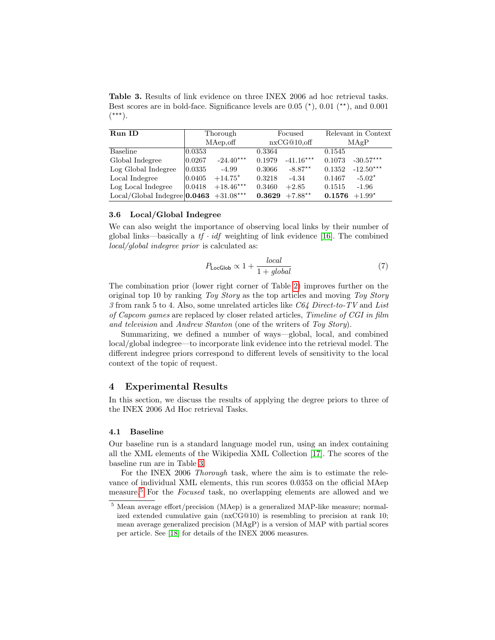<span id="page-8-1"></span>Table 3. Results of link evidence on three INEX 2006 ad hoc retrieval tasks. Best scores are in bold-face. Significance levels are  $0.05$  ( $\star$ ),  $0.01$  ( $\star\star$ ), and  $0.001$  $(***).$ 

| Run ID                           | Thorough             |             | Focused        |             | Relevant in Context |             |
|----------------------------------|----------------------|-------------|----------------|-------------|---------------------|-------------|
|                                  | MAep, off            |             | $nxCG@10.$ off |             | MAgP                |             |
| Baseline                         | $\vert 0.0353 \vert$ |             | 0.3364         |             | 0.1545              |             |
| Global Indegree                  | 0.0267               | $-24.40***$ | 0.1979         | $-41.16***$ | 0.1073              | $-30.57***$ |
| Log Global Indegree              | 0.0335               | $-4.99$     | 0.3066         | $-8.87**$   | 0.1352              | $-12.50***$ |
| Local Indegree                   | 0.0405               | $+14.75*$   | 0.3218         | $-4.34$     | 0.1467              | $-5.02*$    |
| Log Local Indegree               | 0.0418               | $+18.46***$ | 0.3460         | $+2.85$     | 0.1515              | $-1.96$     |
| $Local/Global$ Indegree $0.0463$ |                      | $+31.08***$ | 0.3629         | $+7.88**$   | 0.1576              | $+1.99*$    |

#### 3.6 Local/Global Indegree

We can also weight the importance of observing local links by their number of global links—basically a  $tf \cdot idf$  weighting of link evidence [\[16\]](#page-11-15). The combined local/global indegree prior is calculated as:

$$
P_{\text{LocGlob}} \propto 1 + \frac{local}{1 + global} \tag{7}
$$

The combination prior (lower right corner of Table [2\)](#page-7-0) improves further on the original top 10 by ranking Toy Story as the top articles and moving Toy Story 3 from rank 5 to 4. Also, some unrelated articles like C64 Direct-to-TV and List of Capcom games are replaced by closer related articles, Timeline of CGI in film and television and Andrew Stanton (one of the writers of Toy Story).

Summarizing, we defined a number of ways—global, local, and combined local/global indegree—to incorporate link evidence into the retrieval model. The different indegree priors correspond to different levels of sensitivity to the local context of the topic of request.

# <span id="page-8-0"></span>4 Experimental Results

In this section, we discuss the results of applying the degree priors to three of the INEX 2006 Ad Hoc retrieval Tasks.

#### 4.1 Baseline

Our baseline run is a standard language model run, using an index containing all the XML elements of the Wikipedia XML Collection [\[17\]](#page-11-16). The scores of the baseline run are in Table [3.](#page-8-1)

For the INEX 2006 Thorough task, where the aim is to estimate the relevance of individual XML elements, this run scores 0.0353 on the official MAep measure.[5](#page-8-2) For the Focused task, no overlapping elements are allowed and we

<span id="page-8-2"></span><sup>5</sup> Mean average effort/precision (MAep) is a generalized MAP-like measure; normalized extended cumulative gain (nxCG@10) is resembling to precision at rank 10; mean average generalized precision (MAgP) is a version of MAP with partial scores per article. See [\[18\]](#page-11-17) for details of the INEX 2006 measures.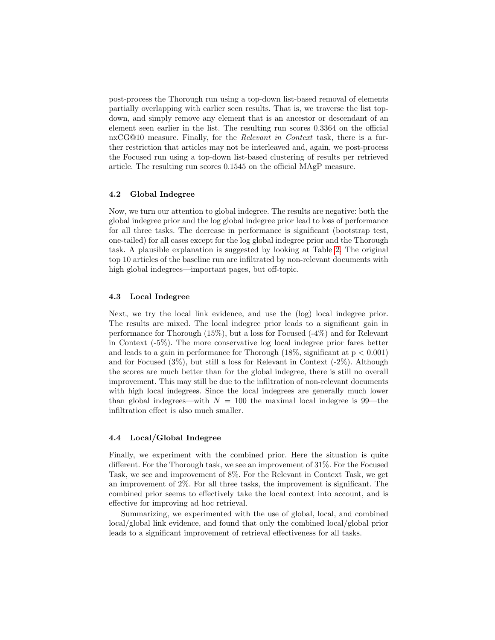post-process the Thorough run using a top-down list-based removal of elements partially overlapping with earlier seen results. That is, we traverse the list topdown, and simply remove any element that is an ancestor or descendant of an element seen earlier in the list. The resulting run scores 0.3364 on the official nxCG@10 measure. Finally, for the Relevant in Context task, there is a further restriction that articles may not be interleaved and, again, we post-process the Focused run using a top-down list-based clustering of results per retrieved article. The resulting run scores 0.1545 on the official MAgP measure.

### 4.2 Global Indegree

Now, we turn our attention to global indegree. The results are negative: both the global indegree prior and the log global indegree prior lead to loss of performance for all three tasks. The decrease in performance is significant (bootstrap test, one-tailed) for all cases except for the log global indegree prior and the Thorough task. A plausible explanation is suggested by looking at Table [2.](#page-7-0) The original top 10 articles of the baseline run are infiltrated by non-relevant documents with high global indegrees—important pages, but off-topic.

### 4.3 Local Indegree

Next, we try the local link evidence, and use the (log) local indegree prior. The results are mixed. The local indegree prior leads to a significant gain in performance for Thorough (15%), but a loss for Focused (-4%) and for Relevant in Context (-5%). The more conservative log local indegree prior fares better and leads to a gain in performance for Thorough  $(18\%,$  significant at  $p < 0.001$ ) and for Focused  $(3\%)$ , but still a loss for Relevant in Context  $(-2\%)$ . Although the scores are much better than for the global indegree, there is still no overall improvement. This may still be due to the infiltration of non-relevant documents with high local indegrees. Since the local indegrees are generally much lower than global indegrees—with  $N = 100$  the maximal local indegree is 99—the infiltration effect is also much smaller.

# 4.4 Local/Global Indegree

Finally, we experiment with the combined prior. Here the situation is quite different. For the Thorough task, we see an improvement of 31%. For the Focused Task, we see and improvement of 8%. For the Relevant in Context Task, we get an improvement of 2%. For all three tasks, the improvement is significant. The combined prior seems to effectively take the local context into account, and is effective for improving ad hoc retrieval.

Summarizing, we experimented with the use of global, local, and combined local/global link evidence, and found that only the combined local/global prior leads to a significant improvement of retrieval effectiveness for all tasks.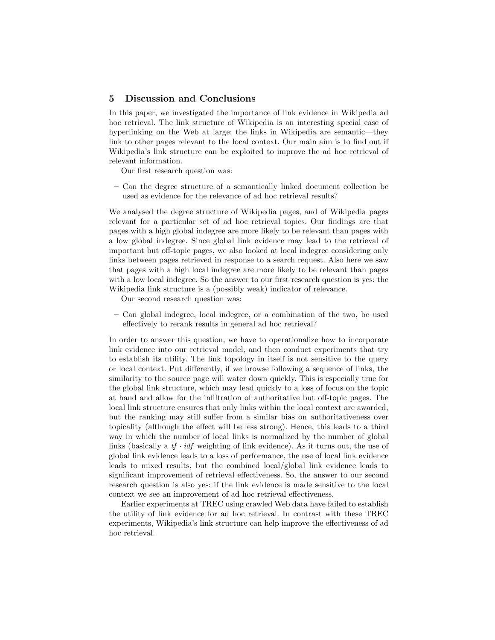# <span id="page-10-0"></span>5 Discussion and Conclusions

In this paper, we investigated the importance of link evidence in Wikipedia ad hoc retrieval. The link structure of Wikipedia is an interesting special case of hyperlinking on the Web at large: the links in Wikipedia are semantic—they link to other pages relevant to the local context. Our main aim is to find out if Wikipedia's link structure can be exploited to improve the ad hoc retrieval of relevant information.

Our first research question was:

– Can the degree structure of a semantically linked document collection be used as evidence for the relevance of ad hoc retrieval results?

We analysed the degree structure of Wikipedia pages, and of Wikipedia pages relevant for a particular set of ad hoc retrieval topics. Our findings are that pages with a high global indegree are more likely to be relevant than pages with a low global indegree. Since global link evidence may lead to the retrieval of important but off-topic pages, we also looked at local indegree considering only links between pages retrieved in response to a search request. Also here we saw that pages with a high local indegree are more likely to be relevant than pages with a low local indegree. So the answer to our first research question is yes: the Wikipedia link structure is a (possibly weak) indicator of relevance.

Our second research question was:

– Can global indegree, local indegree, or a combination of the two, be used effectively to rerank results in general ad hoc retrieval?

In order to answer this question, we have to operationalize how to incorporate link evidence into our retrieval model, and then conduct experiments that try to establish its utility. The link topology in itself is not sensitive to the query or local context. Put differently, if we browse following a sequence of links, the similarity to the source page will water down quickly. This is especially true for the global link structure, which may lead quickly to a loss of focus on the topic at hand and allow for the infiltration of authoritative but off-topic pages. The local link structure ensures that only links within the local context are awarded, but the ranking may still suffer from a similar bias on authoritativeness over topicality (although the effect will be less strong). Hence, this leads to a third way in which the number of local links is normalized by the number of global links (basically a  $tf \cdot idf$  weighting of link evidence). As it turns out, the use of global link evidence leads to a loss of performance, the use of local link evidence leads to mixed results, but the combined local/global link evidence leads to significant improvement of retrieval effectiveness. So, the answer to our second research question is also yes: if the link evidence is made sensitive to the local context we see an improvement of ad hoc retrieval effectiveness.

Earlier experiments at TREC using crawled Web data have failed to establish the utility of link evidence for ad hoc retrieval. In contrast with these TREC experiments, Wikipedia's link structure can help improve the effectiveness of ad hoc retrieval.